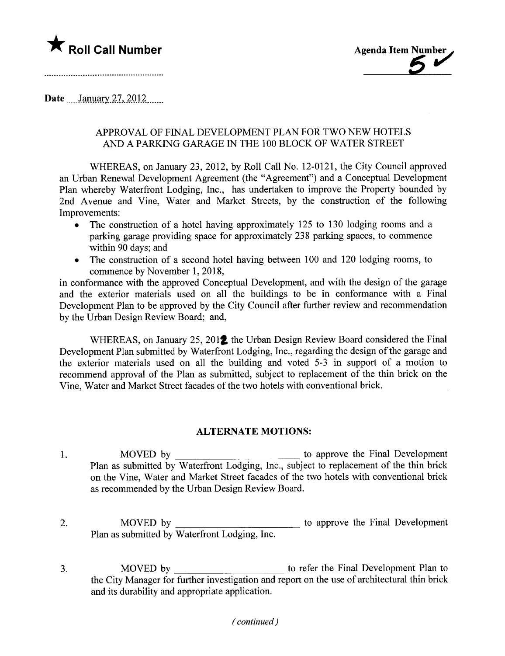

Date January  $27, 2012$ 

# APPROVAL OF FINAL DEVELOPMENT PLAN FOR TWO NEW HOTELS AND A PARKING GARAGE IN THE 100 BLOCK OF WATER STREET

WHEREAS, on January 23, 2012, by Roll Call No. 12-0121, the City Council approved an Urban Renewal Development Agreement (the "Agreement") and a Conceptual Development Plan whereby Waterfront Lodging, Inc., has undertaken to improve the Property bounded by 2nd Avenue and Vine, Water and Market Streets, by the construction of the following Improvements:

- . The construction of a hotel having approximately 125 to 130 lodging rooms and a parking garage providing space for approximately 238 parking spaces, to commence within 90 days; and
- . The construction of a second hotel having between 100 and 120 lodging rooms, to commence by November 1, 2018,

in conformance with the approved Conceptual Development, and with the design of the garage and the exterior materials used on all the buildings to be in conformance with a Final Development Plan to be approved by the City Council after further review and recommendation by the Urban Design Review Board; and,

WHEREAS, on January 25, 2012 the Urban Design Review Board considered the Final Development Plan submitted by Waterfront Lodging, Inc., regarding the design of the garage and the exterior materials used on all the building and voted 5-3 in support of a motion to recommend approval of the Plan as submitted, subject to replacement of the thin brick on the Vine, Water and Market Street facades of the two hotels with conventional brick.

### ALTERNATE MOTIONS:

- 1. MOVED by the Final Development Plan as submitted by Waterfront Lodging, Inc., subject to replacement of the thin brick on the Vine, Water and Market Street facades of the two hotels with conventional brick as recommended by the Urban Design Review Board.
- 2. MOVED by Plan as submitted by Waterfront Lodging, Inc. **to approve the Final Development**
- 3. MOVED by to refer the Final Development Plan to the City Manager for further investigation and report on the use of architectural thin brick and its durability and appropriate application.

### ( continued)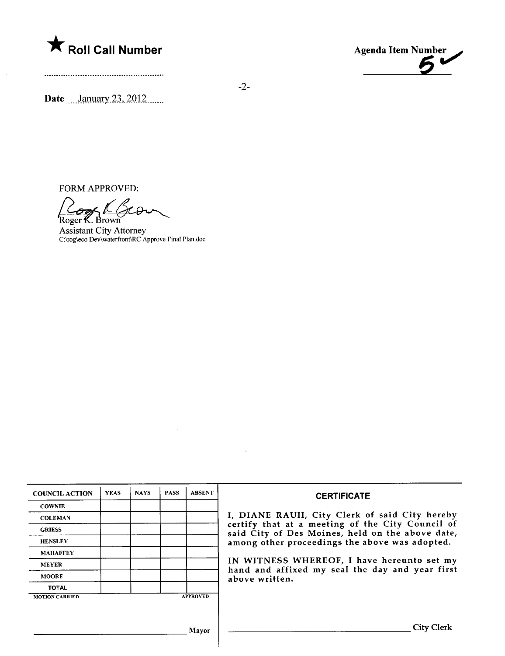



Date  $\frac{\text{January } 23, 2012}{\text{Maximum } 23, 2012}$ 

FORM APPROVED:

Zro  $\sigma$ es l Roger **K**. Brown

Assistant City Attorney C:\rog\eco Dev\waterfront\RC Approve Final Plan. doc

| <b>COUNCIL ACTION</b> | <b>YEAS</b> | <b>NAYS</b> | <b>PASS</b> | <b>ABSENT</b>   | <b>CERTIFICATE</b>                                                                                                                                                                                                                                                                                                         |
|-----------------------|-------------|-------------|-------------|-----------------|----------------------------------------------------------------------------------------------------------------------------------------------------------------------------------------------------------------------------------------------------------------------------------------------------------------------------|
| <b>COWNIE</b>         |             |             |             |                 | I, DIANE RAUH, City Clerk of said City hereby<br>certify that at a meeting of the City Council of<br>said City of Des Moines, held on the above date,<br>among other proceedings the above was adopted.<br>IN WITNESS WHEREOF, I have hereunto set my<br>hand and affixed my seal the day and year first<br>above written. |
| <b>COLEMAN</b>        |             |             |             |                 |                                                                                                                                                                                                                                                                                                                            |
| <b>GRIESS</b>         |             |             |             |                 |                                                                                                                                                                                                                                                                                                                            |
| <b>HENSLEY</b>        |             |             |             |                 |                                                                                                                                                                                                                                                                                                                            |
| <b>MAHAFFEY</b>       |             |             |             |                 |                                                                                                                                                                                                                                                                                                                            |
| <b>MEYER</b>          |             |             |             |                 |                                                                                                                                                                                                                                                                                                                            |
| <b>MOORE</b>          |             |             |             |                 |                                                                                                                                                                                                                                                                                                                            |
| <b>TOTAL</b>          |             |             |             |                 |                                                                                                                                                                                                                                                                                                                            |
| <b>MOTION CARRIED</b> |             |             |             | <b>APPROVED</b> |                                                                                                                                                                                                                                                                                                                            |
|                       |             |             |             |                 |                                                                                                                                                                                                                                                                                                                            |
|                       |             |             |             |                 |                                                                                                                                                                                                                                                                                                                            |
| Mayor                 |             |             |             |                 | <b>City Clerk</b>                                                                                                                                                                                                                                                                                                          |

 $\bar{\lambda}$ 

-2-